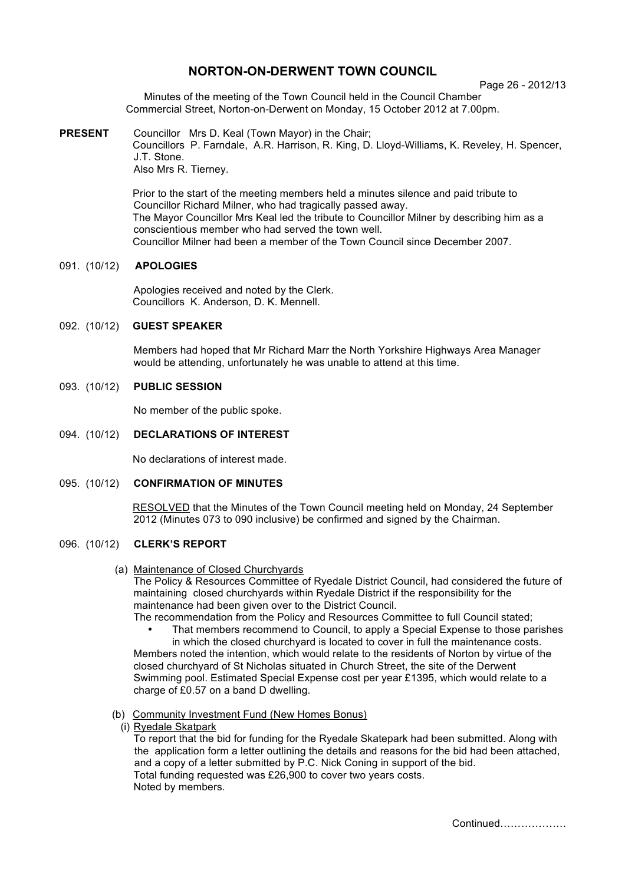# **NORTON-ON-DERWENT TOWN COUNCIL**

Page 26 - 2012/13

Minutes of the meeting of the Town Council held in the Council Chamber Commercial Street, Norton-on-Derwent on Monday, 15 October 2012 at 7.00pm.

**PRESENT** Councillor Mrs D. Keal (Town Mayor) in the Chair; Councillors P. Farndale, A.R. Harrison, R. King, D. Lloyd-Williams, K. Reveley, H. Spencer, J.T. Stone. Also Mrs R. Tierney.

> Prior to the start of the meeting members held a minutes silence and paid tribute to Councillor Richard Milner, who had tragically passed away. The Mayor Councillor Mrs Keal led the tribute to Councillor Milner by describing him as a conscientious member who had served the town well. Councillor Milner had been a member of the Town Council since December 2007.

## 091. (10/12) **APOLOGIES**

 Apologies received and noted by the Clerk. Councillors K. Anderson, D. K. Mennell.

### 092. (10/12) **GUEST SPEAKER**

Members had hoped that Mr Richard Marr the North Yorkshire Highways Area Manager would be attending, unfortunately he was unable to attend at this time.

## 093. (10/12) **PUBLIC SESSION**

No member of the public spoke.

## 094. (10/12) **DECLARATIONS OF INTEREST**

No declarations of interest made.

### 095. (10/12) **CONFIRMATION OF MINUTES**

 RESOLVED that the Minutes of the Town Council meeting held on Monday, 24 September 2012 (Minutes 073 to 090 inclusive) be confirmed and signed by the Chairman.

## 096. (10/12) **CLERK'S REPORT**

(a) Maintenance of Closed Churchyards

The Policy & Resources Committee of Ryedale District Council, had considered the future of maintaining closed churchyards within Ryedale District if the responsibility for the maintenance had been given over to the District Council.

The recommendation from the Policy and Resources Committee to full Council stated;

That members recommend to Council, to apply a Special Expense to those parishes in which the closed churchyard is located to cover in full the maintenance costs.

Members noted the intention, which would relate to the residents of Norton by virtue of the closed churchyard of St Nicholas situated in Church Street, the site of the Derwent Swimming pool. Estimated Special Expense cost per year £1395, which would relate to a charge of £0.57 on a band D dwelling.

- (b) Community Investment Fund (New Homes Bonus)
	- (i) Ryedale Skatpark

To report that the bid for funding for the Ryedale Skatepark had been submitted. Along with the application form a letter outlining the details and reasons for the bid had been attached, and a copy of a letter submitted by P.C. Nick Coning in support of the bid. Total funding requested was £26,900 to cover two years costs. Noted by members.

Continued……………….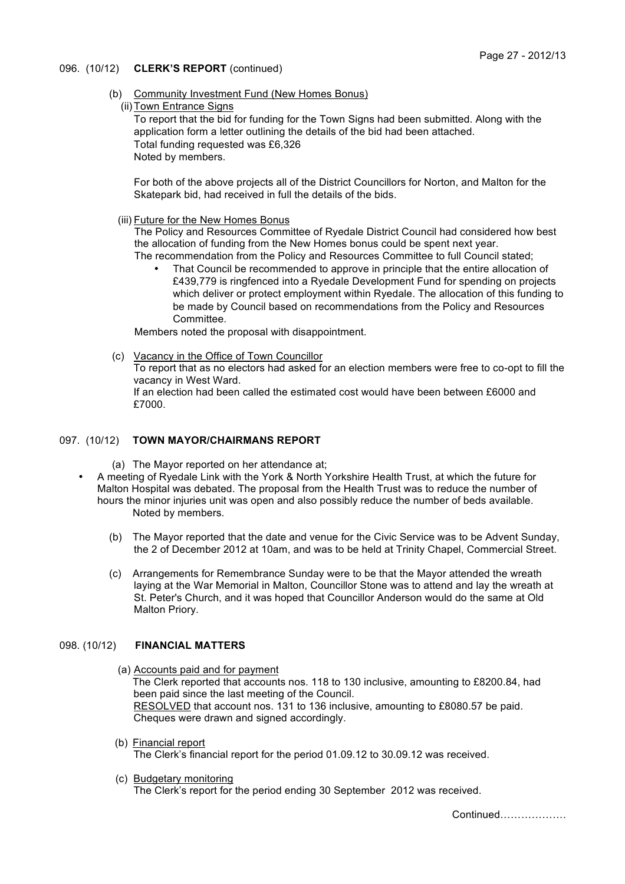## 096. (10/12) **CLERK'S REPORT** (continued)

- (b) Community Investment Fund (New Homes Bonus)
	- (ii) Town Entrance Signs

To report that the bid for funding for the Town Signs had been submitted. Along with the application form a letter outlining the details of the bid had been attached. Total funding requested was £6,326 Noted by members.

For both of the above projects all of the District Councillors for Norton, and Malton for the Skatepark bid, had received in full the details of the bids.

(iii) Future for the New Homes Bonus

The Policy and Resources Committee of Ryedale District Council had considered how best the allocation of funding from the New Homes bonus could be spent next year. The recommendation from the Policy and Resources Committee to full Council stated;

That Council be recommended to approve in principle that the entire allocation of £439,779 is ringfenced into a Ryedale Development Fund for spending on projects which deliver or protect employment within Ryedale. The allocation of this funding to be made by Council based on recommendations from the Policy and Resources Committee.

Members noted the proposal with disappointment.

(c) Vacancy in the Office of Town Councillor

To report that as no electors had asked for an election members were free to co-opt to fill the vacancy in West Ward.

If an election had been called the estimated cost would have been between £6000 and £7000.

## 097. (10/12) **TOWN MAYOR/CHAIRMANS REPORT**

(a) The Mayor reported on her attendance at;

- A meeting of Ryedale Link with the York & North Yorkshire Health Trust, at which the future for Malton Hospital was debated. The proposal from the Health Trust was to reduce the number of hours the minor injuries unit was open and also possibly reduce the number of beds available. Noted by members.
	- (b) The Mayor reported that the date and venue for the Civic Service was to be Advent Sunday, the 2 of December 2012 at 10am, and was to be held at Trinity Chapel, Commercial Street.
	- (c) Arrangements for Remembrance Sunday were to be that the Mayor attended the wreath laying at the War Memorial in Malton, Councillor Stone was to attend and lay the wreath at St. Peter's Church, and it was hoped that Councillor Anderson would do the same at Old Malton Priory.

## 098. (10/12) **FINANCIAL MATTERS**

- (a) Accounts paid and for payment The Clerk reported that accounts nos. 118 to 130 inclusive, amounting to £8200.84, had been paid since the last meeting of the Council. RESOLVED that account nos. 131 to 136 inclusive, amounting to £8080.57 be paid. Cheques were drawn and signed accordingly.
- (b) Financial report The Clerk's financial report for the period 01.09.12 to 30.09.12 was received.
- (c) Budgetary monitoring The Clerk's report for the period ending 30 September 2012 was received.

Continued……………….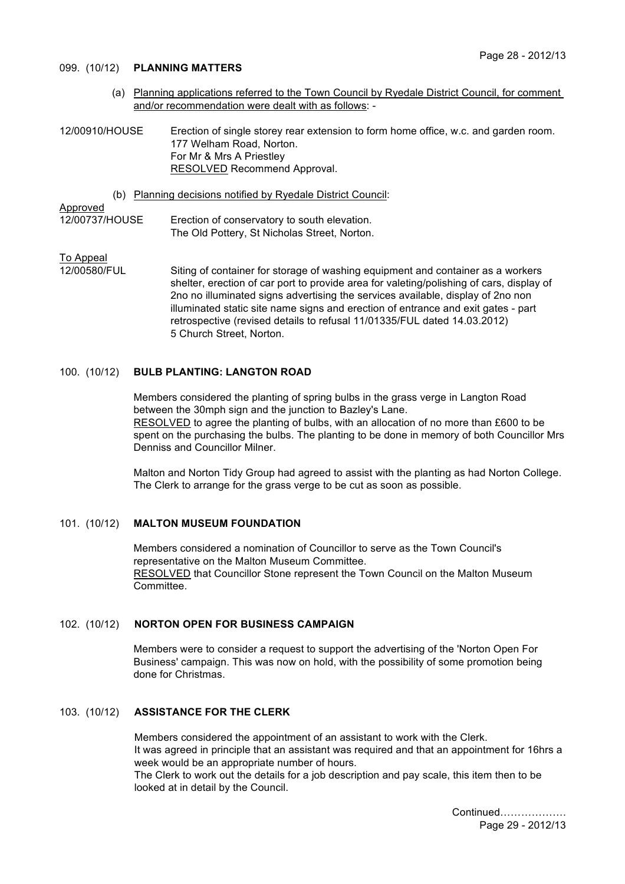### 099. (10/12) **PLANNING MATTERS**

 (a) Planning applications referred to the Town Council by Ryedale District Council, for comment and/or recommendation were dealt with as follows: -

12/00910/HOUSE Erection of single storey rear extension to form home office, w.c. and garden room. 177 Welham Road, Norton. For Mr & Mrs A Priestley RESOLVED Recommend Approval.

(b) Planning decisions notified by Ryedale District Council:

## Approved

12/00737/HOUSE Erection of conservatory to south elevation. The Old Pottery, St Nicholas Street, Norton.

# To Appeal<br>12/00580/FUL

Siting of container for storage of washing equipment and container as a workers shelter, erection of car port to provide area for valeting/polishing of cars, display of 2no no illuminated signs advertising the services available, display of 2no non illuminated static site name signs and erection of entrance and exit gates - part retrospective (revised details to refusal 11/01335/FUL dated 14.03.2012) 5 Church Street, Norton.

## 100. (10/12) **BULB PLANTING: LANGTON ROAD**

Members considered the planting of spring bulbs in the grass verge in Langton Road between the 30mph sign and the junction to Bazley's Lane. RESOLVED to agree the planting of bulbs, with an allocation of no more than £600 to be spent on the purchasing the bulbs. The planting to be done in memory of both Councillor Mrs Denniss and Councillor Milner.

Malton and Norton Tidy Group had agreed to assist with the planting as had Norton College. The Clerk to arrange for the grass verge to be cut as soon as possible.

## 101. (10/12) **MALTON MUSEUM FOUNDATION**

Members considered a nomination of Councillor to serve as the Town Council's representative on the Malton Museum Committee. RESOLVED that Councillor Stone represent the Town Council on the Malton Museum Committee.

### 102. (10/12) **NORTON OPEN FOR BUSINESS CAMPAIGN**

Members were to consider a request to support the advertising of the 'Norton Open For Business' campaign. This was now on hold, with the possibility of some promotion being done for Christmas.

## 103. (10/12) **ASSISTANCE FOR THE CLERK**

Members considered the appointment of an assistant to work with the Clerk. It was agreed in principle that an assistant was required and that an appointment for 16hrs a week would be an appropriate number of hours. The Clerk to work out the details for a job description and pay scale, this item then to be looked at in detail by the Council.

> Continued………………. Page 29 - 2012/13